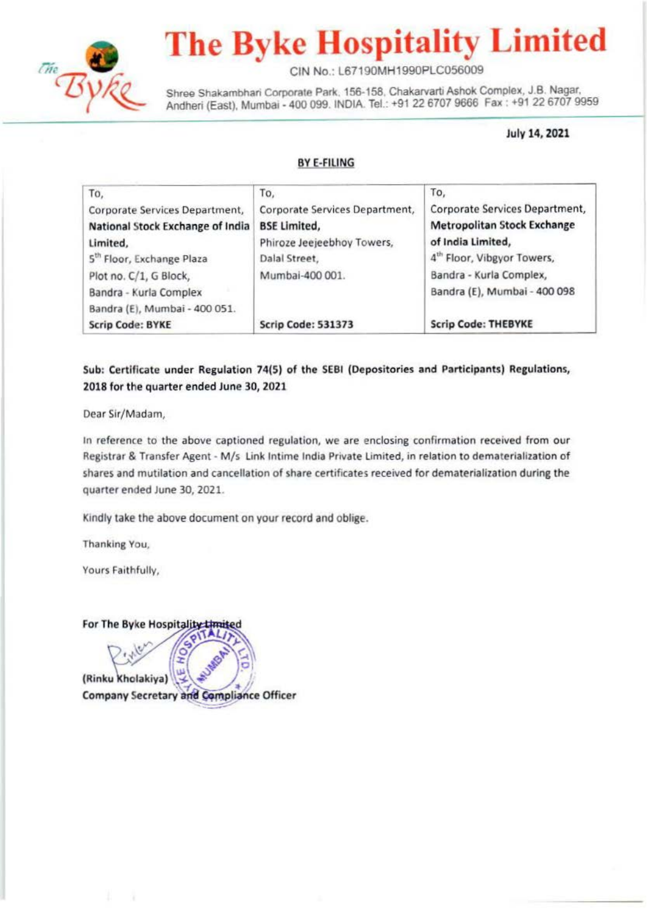

# **The Byke Hospitality Limited**

CIN No.: L67190MH1990PLC056009

Shree Shakambhari Corporate Park, 156-158, Chakarvarti Ashok Complex, J.B. Nagar, Andheri (East), Mumbai - 400 099. INDIA. Tel.: +91 22 6707 9666 Fax : +91 22 6707 9959

July 14, 2021

#### BYE-FILING

| To,                                   | To,                            | To,                                    |
|---------------------------------------|--------------------------------|----------------------------------------|
| Corporate Services Department,        | Corporate Services Department, | Corporate Services Department,         |
| National Stock Exchange of India      | <b>BSE Limited,</b>            | <b>Metropolitan Stock Exchange</b>     |
| Limited,                              | Phiroze Jeejeebhoy Towers,     | of India Limited,                      |
| 5 <sup>th</sup> Floor, Exchange Plaza | Dalal Street,                  | 4 <sup>th</sup> Floor, Vibgyor Towers, |
| Plot no. C/1, G Block,                | Mumbai-400 001.                | Bandra - Kurla Complex,                |
| Bandra - Kurla Complex                |                                | Bandra (E), Mumbai - 400 098           |
| Bandra (E), Mumbai - 400 051.         |                                |                                        |
| <b>Scrip Code: BYKE</b>               | <b>Scrip Code: 531373</b>      | <b>Scrip Code: THEBYKE</b>             |

#### Sub: Certificate under Regulation 74(5) of the SEBI (Depositories and Participants) Regulations, 2018 for the quarter ended June 30, 2021

Dear Sir/Madam,

In reference to the above captioned regulation, we are enclosing confirmation received from our Registrar & Transfer Agent · M/s Link lntime India Private Limited, in relation to dematerialization of shares and mutilation and cancellation of share certificates received for dematerialization during the quarter ended June 30, 2021.

Kindly take the above document on your record and oblige.

Thanking You,

Yours Faithfully,

For The Byke Hospitality Limited

(Rinku Kholakiya) **Company Secretary and Compliance Officer**